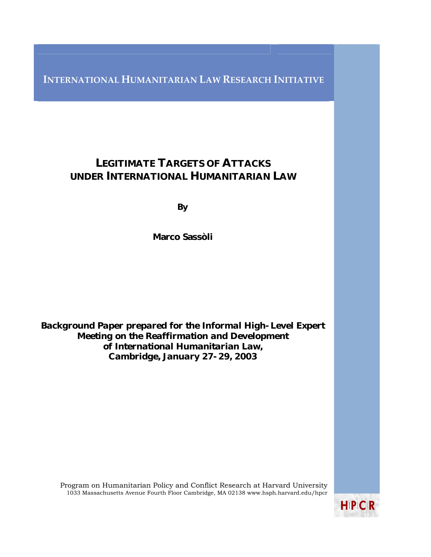**INTERNATIONAL HUMANITARIAN LAW RESEARCH INITIATIVE**

# LEGITIMATE TARGETS OF ATTACKS UNDER INTERNATIONAL HUMANITARIAN LAW

By

Marco Sassòli

*Background Paper prepared for the Informal High-Level Expert Meeting on the Reaffirmation and Development of International Humanitarian Law, Cambridge, January 27-29, 2003*

Program on Humanitarian Policy and Conflict Research at Harvard University 1033 Massachusetts Avenue Fourth Floor Cambridge, MA 02138 www.hsph.harvard.edu/hpcr

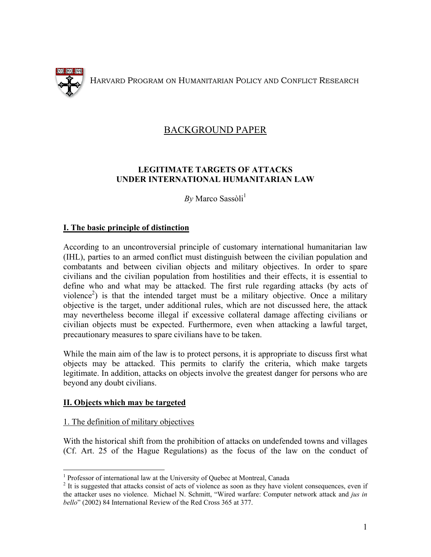

HARVARD PROGRAM ON HUMANITARIAN POLICY AND CONFLICT RESEARCH

# BACKGROUND PAPER

# **LEGITIMATE TARGETS OF ATTACKS UNDER INTERNATIONAL HUMANITARIAN LAW**

 $Bv$  Marco Sassòli<sup>[1](#page-1-0)</sup>

# **I. The basic principle of distinction**

According to an uncontroversial principle of customary international humanitarian law (IHL), parties to an armed conflict must distinguish between the civilian population and combatants and between civilian objects and military objectives. In order to spare civilians and the civilian population from hostilities and their effects, it is essential to define who and what may be attacked. The first rule regarding attacks (by acts of violence<sup>[2](#page-1-1)</sup>) is that the intended target must be a military objective. Once a military objective is the target, under additional rules, which are not discussed here, the attack may nevertheless become illegal if excessive collateral damage affecting civilians or civilian objects must be expected. Furthermore, even when attacking a lawful target, precautionary measures to spare civilians have to be taken.

While the main aim of the law is to protect persons, it is appropriate to discuss first what objects may be attacked. This permits to clarify the criteria, which make targets legitimate. In addition, attacks on objects involve the greatest danger for persons who are beyond any doubt civilians.

# **II. Objects which may be targeted**

# 1. The definition of military objectives

With the historical shift from the prohibition of attacks on undefended towns and villages (Cf. Art. 25 of the Hague Regulations) as the focus of the law on the conduct of

<span id="page-1-0"></span><sup>&</sup>lt;sup>1</sup><br><sup>1</sup> Professor of international law at the University of Quebec at Montreal, Canada<sup>2</sup> It is guaranted that attacks consist of eats of violence as soon as they have violence

<span id="page-1-1"></span><sup>&</sup>lt;sup>2</sup> It is suggested that attacks consist of acts of violence as soon as they have violent consequences, even if the attacker uses no violence. Michael N. Schmitt, "Wired warfare: Computer network attack and *jus in bello*" (2002) 84 International Review of the Red Cross 365 at 377.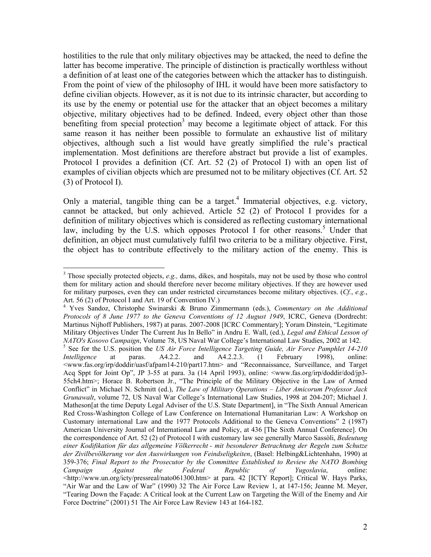hostilities to the rule that only military objectives may be attacked, the need to define the latter has become imperative. The principle of distinction is practically worthless without a definition of at least one of the categories between which the attacker has to distinguish. From the point of view of the philosophy of IHL it would have been more satisfactory to define civilian objects. However, as it is not due to its intrinsic character, but according to its use by the enemy or potential use for the attacker that an object becomes a military objective, military objectives had to be defined. Indeed, every object other than those benefiting from special protection<sup>[3](#page-2-0)</sup> may become a legitimate object of attack. For this same reason it has neither been possible to formulate an exhaustive list of military objectives, although such a list would have greatly simplified the rule's practical implementation. Most definitions are therefore abstract but provide a list of examples. Protocol I provides a definition (Cf. Art. 52 (2) of Protocol I) with an open list of examples of civilian objects which are presumed not to be military objectives (Cf. Art. 52 (3) of Protocol I).

Only a material, tangible thing can be a target.<sup>[4](#page-2-1)</sup> Immaterial objectives, e.g. victory, cannot be attacked, but only achieved. Article 52 (2) of Protocol I provides for a definition of military objectives which is considered as reflecting customary international law, including by the U.S. which opposes Protocol I for other reasons.<sup>5</sup> Under that definition, an object must cumulatively fulfil two criteria to be a military objective. First, the object has to contribute effectively to the military action of the enemy. This is

<span id="page-2-0"></span><sup>&</sup>lt;sup>3</sup> Those specially protected objects, *e.g.*, dams, dikes, and hospitals, may not be used by those who control them for military action and should therefore never become military objectives. If they are however used for military purposes, even they can under restricted circumstances become military objectives. (*Cf.*, *e.g.*,

<span id="page-2-2"></span><span id="page-2-1"></span>Art. 56 (2) of Protocol I and Art. 19 of Convention IV.)<br><sup>4</sup> Yves Sandoz, Christophe Swinarski & Bruno Zimmermann (eds.), *Commentary on the Additional Protocols of 8 June 1977 to the Geneva Conventions of 12 August 1949*, ICRC, Geneva (Dordrecht: Martinus Nijhoff Publishers, 1987) at paras. 2007-2008 [ICRC Commentary]; Yoram Dinstein, "Legitimate Military Objectives Under The Current Jus In Bello" in Andru E. Wall, (ed.), *Legal and Ethical Lesson of NATO's Kosovo Campaign*, Volume 78, US Naval War College's International Law Studies, 2002 at 142. <sup>5</sup> <sup>5</sup> See for the U.S. position the *US Air Force Intelligence Targeting Guide, Air Force Pamphlet 14-210 Intelligence* at paras. A4.2.2. and A4.2.2.3. (1 February 1998), online: <www.fas.org/irp/doddir/uasf/afpam14-210/part17.htm> and "Reconnaissance, Surveillance, and Target Acq Sppt for Joint Op", JP 3-55 at para. 3a (14 April 1993), online: <www.fas.org/irp/doddir/dod/jp3- 55ch4.htm>; Horace B. Robertson Jr., "The Principle of the Military Objective in the Law of Armed Conflict" in Michael N. Schmitt (ed.), *The Law of Military Operations – Liber Amicorum Professor Jack Grunawalt*, volume 72, US Naval War College's International Law Studies, 1998 at 204-207; Michael J. Matheson[at the time Deputy Legal Adviser of the U.S. State Department], in "The Sixth Annual American Red Cross-Washington College of Law Conference on International Humanitarian Law: A Workshop on Customary international Law and the 1977 Protocols Additional to the Geneva Conventions" 2 (1987) American University Journal of International Law and Policy, at 436 [The Sixth Annual Conference]. On the correspondence of Art. 52 (2) of Protocol I with customary law see generally Marco Sassòli, *Bedeutung einer Kodifikation für das allgemeine Völkerrecht - mit besonderer Betrachtung der Regeln zum Schutze der Zivilbevölkerung vor den Auswirkungen von Feindseligkeiten*, (Basel: Helbing&Lichtenhahn, 1990) at 359-376; *Final Report to the Prosecutor by the Committee Established to Review the NATO Bombing Campaign Against the Federal Republic of Yugoslavia*, online: <http://www.un.org/icty/pressreal/nato061300.htm> at para. 42 [ICTY Report]; Critical W. Hays Parks, "Air War and the Law of War" (1990) 32 The Air Force Law Review 1, at 147-156; Jeanne M. Meyer, "Tearing Down the Façade: A Critical look at the Current Law on Targeting the Will of the Enemy and Air Force Doctrine" (2001) 51 The Air Force Law Review 143 at 164-182.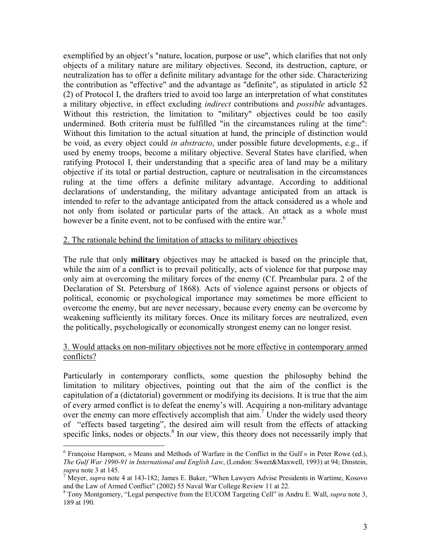exemplified by an object's "nature, location, purpose or use", which clarifies that not only objects of a military nature are military objectives. Second, its destruction, capture, or neutralization has to offer a definite military advantage for the other side. Characterizing the contribution as "effective" and the advantage as "definite", as stipulated in article 52 (2) of Protocol I, the drafters tried to avoid too large an interpretation of what constitutes a military objective, in effect excluding *indirect* contributions and *possible* advantages. Without this restriction, the limitation to "military" objectives could be too easily undermined. Both criteria must be fulfilled "in the circumstances ruling at the time": Without this limitation to the actual situation at hand, the principle of distinction would be void, as every object could *in abstracto*, under possible future developments, e.g., if used by enemy troops, become a military objective. Several States have clarified, when ratifying Protocol I, their understanding that a specific area of land may be a military objective if its total or partial destruction, capture or neutralisation in the circumstances ruling at the time offers a definite military advantage. According to additional declarations of understanding, the military advantage anticipated from an attack is intended to refer to the advantage anticipated from the attack considered as a whole and not only from isolated or particular parts of the attack. An attack as a whole must however be a finite event, not to be confused with the entire war.<sup>[6](#page-3-0)</sup>

#### 2. The rationale behind the limitation of attacks to military objectives

The rule that only **military** objectives may be attacked is based on the principle that, while the aim of a conflict is to prevail politically, acts of violence for that purpose may only aim at overcoming the military forces of the enemy (Cf. Preambular para. 2 of the Declaration of St. Petersburg of 1868). Acts of violence against persons or objects of political, economic or psychological importance may sometimes be more efficient to overcome the enemy, but are never necessary, because every enemy can be overcome by weakening sufficiently its military forces. Once its military forces are neutralized, even the politically, psychologically or economically strongest enemy can no longer resist.

# 3. Would attacks on non-military objectives not be more effective in contemporary armed conflicts?

Particularly in contemporary conflicts, some question the philosophy behind the limitation to military objectives, pointing out that the aim of the conflict is the capitulation of a (dictatorial) government or modifying its decisions. It is true that the aim of every armed conflict is to defeat the enemy's will. Acquiring a non-military advantage over the enemy can more effectively accomplish that aim.<sup>[7](#page-3-1)</sup> Under the widely used theory of "effects based targeting", the desired aim will result from the effects of attacking specific links, nodes or objects.<sup>[8](#page-3-2)</sup> In our view, this theory does not necessarily imply that

<u>.</u>

<span id="page-3-0"></span> $6$  Françoise Hampson, « Means and Methods of Warfare in the Conflict in the Gulf » in Peter Rowe (ed.), *The Gulf War 1990-91 in International and English Law*, (London: Sweet&Maxwell, 1993) at 94; Dinstein, supra note 3 at 145.

<span id="page-3-1"></span><sup>&</sup>lt;sup>7</sup> Meyer, *supra* note 4 at 143-182; James E. Baker, "When Lawyers Advise Presidents in Wartime, Kosovo and the Law of Armed Conflict" (2002) <sup>55</sup> Naval War College Review 11 at 22. 8

<span id="page-3-2"></span>Tony Montgomery, "Legal perspective from the EUCOM Targeting Cell" in Andru E. Wall, *supra* note 3, 189 at 190.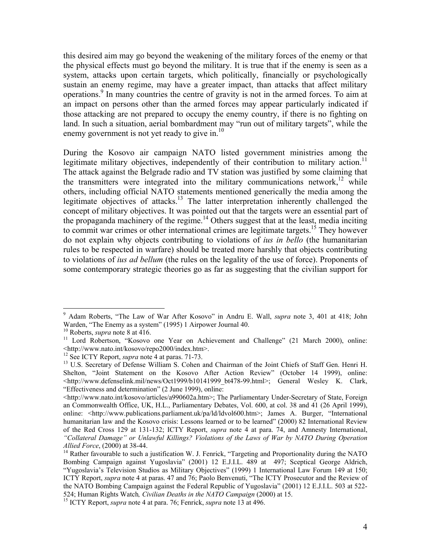this desired aim may go beyond the weakening of the military forces of the enemy or that the physical effects must go beyond the military. It is true that if the enemy is seen as a system, attacks upon certain targets, which politically, financially or psychologically sustain an enemy regime, may have a greater impact, than attacks that affect military operations.<sup>9</sup> In many countries the centre of gravity is not in the armed forces. To aim at an impact on persons other than the armed forces may appear particularly indicated if those attacking are not prepared to occupy the enemy country, if there is no fighting on land. In such a situation, aerial bombardment may "run out of military targets", while the enemy government is not yet ready to give in.<sup>10</sup>

During the Kosovo air campaign NATO listed government ministries among the legitimate military objectives, independently of their contribution to military action.<sup>11</sup> The attack against the Belgrade radio and TV station was justified by some claiming that the transmitters were integrated into the military communications network,<sup>12</sup> while others, including official NATO statements mentioned generically the media among the legitimate objectives of attacks.<sup>13</sup> The latter interpretation inherently challenged the concept of military objectives. It was pointed out that the targets were an essential part of the propaganda machinery of the regime.<sup>14</sup> Others suggest that at the least, media inciting to commit war crimes or other international crimes are legitimate targets.<sup>15</sup> They however do not explain why objects contributing to violations of *ius in bello* (the humanitarian rules to be respected in warfare) should be treated more harshly that objects contributing to violations of *ius ad bellum* (the rules on the legality of the use of force). Proponents of some contemporary strategic theories go as far as suggesting that the civilian support for

<span id="page-4-0"></span><sup>9</sup> Adam Roberts, "The Law of War After Kosovo" in Andru E. Wall, *supra* note 3, 401 at 418; John Warden, "The Enemy as a system" (1995) 1 Airpower Journal 40.<br><sup>10</sup> Roberts, *supra* note 8 at 416.<br><sup>11</sup> Lord Robertson, "Kosovo one Year on Achievement and Challenge" (21 March 2000), online:

<span id="page-4-1"></span>

<span id="page-4-2"></span><sup>&</sup>lt;http://www.nato.int/kosovo/repo2000/index.htm>. 12 See ICTY Report, *supra* note 4 at paras. 71-73. 13 U.S. Secretary of Defense William S. Cohen and Chairman of the Joint Chiefs of Staff Gen. Henri H.

<span id="page-4-3"></span>

<span id="page-4-4"></span>Shelton, "Joint Statement on the Kosovo After Action Review" (October 14 1999), online: <http://www.defenselink.mil/news/Oct1999/b10141999\_bt478-99.html>; General Wesley K. Clark, "Effectiveness and determination" (2 June 1999), online:

 $\langle$ http://www.nato.int/kosovo/articles/a990602a.htm>; The Parliamentary Under-Secretary of State, Foreign an Commonwealth Office, UK, H.L., Parliamentary Debates, Vol. 600, at col. 38 and 41 (26 April 1999), online: <http://www.publications.parliament.uk/pa/ld/ldvol600.htm>; James A. Burger, "International humanitarian law and the Kosovo crisis: Lessons learned or to be learned" (2000) 82 International Review of the Red Cross 129 at 131-132; ICTY Report, *supra* note 4 at para. 74, and Amnesty International, *"Collateral Damage" or Unlawful Killings? Violations of the Laws of War by NATO During Operation Allied Force*, (2000) at 38-44.<br><sup>14</sup> Rather favourable to such a justification W. J. Fenrick, "Targeting and Proportionality during the NATO

<span id="page-4-5"></span>Bombing Campaign against Yugoslavia" (2001) 12 E.J.I.L. 489 at 497; Sceptical George Aldrich, "Yugoslavia's Television Studios as Military Objectives" (1999) 1 International Law Forum 149 at 150; ICTY Report, *supra* note 4 at paras. 47 and 76; Paolo Benvenuti, "The ICTY Prosecutor and the Review of the NATO Bombing Campaign against the Federal Republic of Yugoslavia" (2001) 12 E.J.I.L. 503 at 522- 524; Human Rights Watch*, Civilian Deaths in the NATO Campaign* (2000) at 15. 15 ICTY Report, *supra* note 4 at para. 76; Fenrick, *supra* note 13 at 496.

<span id="page-4-6"></span>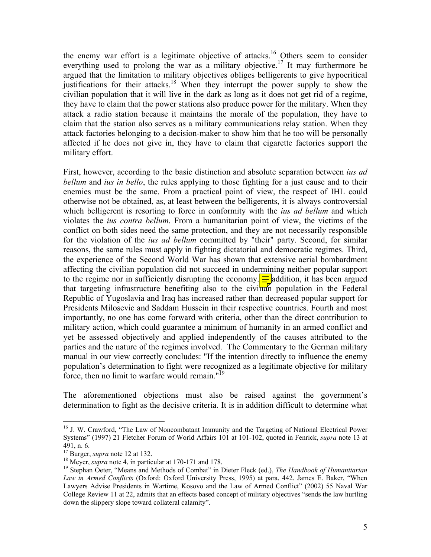the enemy war effort is a legitimate objective of attacks.<sup>16</sup> Others seem to consider everything used to prolong the war as a military objective.<sup>17</sup> It may furthermore be argued that the limitation to military objectives obliges belligerents to give hypocritical justifications for their attacks.<sup>18</sup> When they interrupt the power supply to show the civilian population that it will live in the dark as long as it does not get rid of a regime, they have to claim that the power stations also produce power for the military. When they attack a radio station because it maintains the morale of the population, they have to claim that the station also serves as a military communications relay station. When they attack factories belonging to a decision-maker to show him that he too will be personally affected if he does not give in, they have to claim that cigarette factories support the military effort.

First, however, according to the basic distinction and absolute separation between *ius ad bellum* and *ius in bello*, the rules applying to those fighting for a just cause and to their enemies must be the same. From a practical point of view, the respect of IHL could otherwise not be obtained, as, at least between the belligerents, it is always controversial which belligerent is resorting to force in conformity with the *ius ad bellum* and which violates the *ius contra bellum*. From a humanitarian point of view, the victims of the conflict on both sides need the same protection, and they are not necessarily responsible for the violation of the *ius ad bellum* committed by "their" party. Second, for similar reasons, the same rules must apply in fighting dictatorial and democratic regimes. Third, the experience of the Second World War has shown that extensive aerial bombardment affecting the civilian population did not succeed in undermining neither popular support to the regime nor in sufficiently disrupting the economy.  $\boxed{\equiv}$  addition, it has been argued that targeting infrastructure benefiting also to the civilian population in the Federal Republic of Yugoslavia and Iraq has increased rather than decreased popular support for Presidents Milosevic and Saddam Hussein in their respective countries. Fourth and most importantly, no one has come forward with criteria, other than the direct contribution to military action, which could guarantee a minimum of humanity in an armed conflict and yet be assessed objectively and applied independently of the causes attributed to the parties and the nature of the regimes involved. The Commentary to the German military manual in our view correctly concludes: "If the intention directly to influence the enemy population's determination to fight were recognized as a legitimate objective for military force, then no limit to warfare would remain." $19$ 

The aforementioned objections must also be raised against the government's determination to fight as the decisive criteria. It is in addition difficult to determine what

1

<span id="page-5-0"></span><sup>&</sup>lt;sup>16</sup> J. W. Crawford, "The Law of Noncombatant Immunity and the Targeting of National Electrical Power Systems" (1997) 21 Fletcher Forum of World Affairs 101 at 101-102, quoted in Fenrick, *supra* note 13 at 491, n. 6.<br><sup>17</sup> Burger, *supra* note 12 at 132.<br><sup>18</sup> Meyer, *supra* note 4, in particular at 170-171 and 178.<br><sup>19</sup> Stephan Oeter, "Means and Methods of Combat" in Dieter Fleck (ed.), *The Handbook of Humanitarian* 

<span id="page-5-1"></span>

<span id="page-5-2"></span>

<span id="page-5-3"></span>*Law in Armed Conflicts* (Oxford: Oxford University Press, 1995) at para. 442. James E. Baker, "When Lawyers Advise Presidents in Wartime, Kosovo and the Law of Armed Conflict" (2002) 55 Naval War College Review 11 at 22, admits that an effects based concept of military objectives "sends the law hurtling down the slippery slope toward collateral calamity".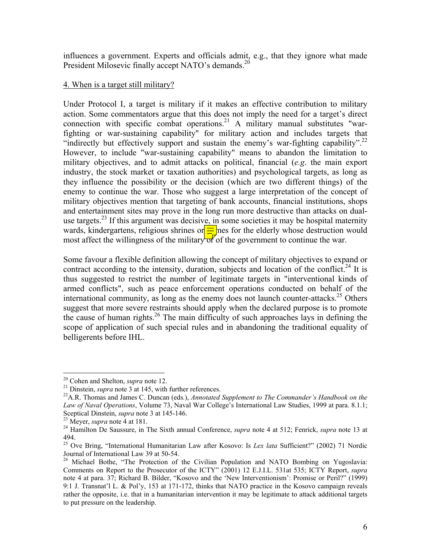influences a government. Experts and officials admit, e.g., that they ignore what made President Milosevic finally accept NATO's demands.<sup>20</sup>

#### 4. When is a target still military?

Under Protocol I, a target is military if it makes an effective contribution to military action. Some commentators argue that this does not imply the need for a target's direct connection with specific combat operations.<sup>21</sup> A military manual substitutes "warfighting or war-sustaining capability" for military action and includes targets that "indirectly but effectively support and sustain the enemy's war-fighting capability".<sup>22</sup> However, to include "war-sustaining capability" means to abandon the limitation to military objectives, and to admit attacks on political, financial (*e.g*. the main export industry, the stock market or taxation authorities) and psychological targets, as long as they influence the possibility or the decision (which are two different things) of the enemy to continue the war. Those who suggest a large interpretation of the concept of military objectives mention that targeting of bank accounts, financial institutions, shops and entertainment sites may prove in the long run more destructive than attacks on dualuse targets.<sup>23</sup> If this argument was decisive, in some societies it may be hospital maternity wards, kindergartens, religious shrines or  $\frac{1}{\sqrt{2}}$  mes for the elderly whose destruction would most affect the willingness of the military of of the government to continue the war.

Some favour a flexible definition allowing the concept of military objectives to expand or contract according to the intensity, duration, subjects and location of the conflict.<sup>24</sup> It is thus suggested to restrict the number of legitimate targets in "interventional kinds of armed conflicts", such as peace enforcement operations conducted on behalf of the international community, as long as the enemy does not launch counter-attacks.<sup>25</sup> Others suggest that more severe restraints should apply when the declared purpose is to promote the cause of human rights.<sup>26</sup> The main difficulty of such approaches lays in defining the scope of application of such special rules and in abandoning the traditional equality of belligerents before IHL.

<span id="page-6-0"></span> $20$  Cohen and Shelton, *supra* note 12.

<span id="page-6-2"></span><span id="page-6-1"></span>

<sup>&</sup>lt;sup>21</sup> Dinstein, *supra* note 3 at 145, with further references.<br><sup>22</sup> A.R. Thomas and James C. Duncan (eds.), *Annotated Supplement to The Commander's Handbook on the Law of Naval Operations*, Volume 73, Naval War College's International Law Studies, 1999 at para. 8.1.1; Sceptical Dinstein, *supra* note 3 at 145-146.<br><sup>23</sup> Meyer, *supra* note 4 at 181.<br><sup>24</sup> Hamilton De Saussure, in The Sixth annual Conference, *supra* note 4 at 512; Fenrick, *supra* note 13 at

<span id="page-6-3"></span>

<span id="page-6-4"></span>

<span id="page-6-5"></span><sup>494.&</sup>lt;br><sup>25</sup> Ove Bring, "International Humanitarian Law after Kosovo: Is *Lex lata* Sufficient?" (2002) 71 Nordic Journal of International Law 39 at 50-54.

<span id="page-6-6"></span><sup>&</sup>lt;sup>26</sup> Michael Bothe, "The Protection of the Civilian Population and NATO Bombing on Yugoslavia: Comments on Report to the Prosecutor of the ICTY" (2001) 12 E.J.I.L. 531at 535; ICTY Report, *supra* note 4 at para. 37; Richard B. Bilder, "Kosovo and the 'New Interventionism': Promise or Peril?" (1999) 9:1 J. Transnat'l L. & Pol'y, 153 at 171-172, thinks that NATO practice in the Kosovo campaign reveals rather the opposite, i.e. that in a humanitarian intervention it may be legitimate to attack additional targets to put pressure on the leadership.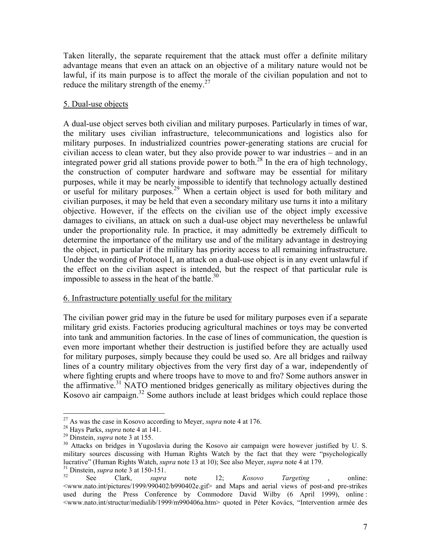<span id="page-7-5"></span>Taken literally, the separate requirement that the attack must offer a definite military advantage means that even an attack on an objective of a military nature would not be lawful, if its main purpose is to affect the morale of the civilian population and not to reduce the military strength of the enemy. $27$ 

# 5. Dual-use objects

A dual-use object serves both civilian and military purposes. Particularly in times of war, the military uses civilian infrastructure, telecommunications and logistics also for military purposes. In industrialized countries power-generating stations are crucial for civilian access to clean water, but they also provide power to war industries – and in an integrated power grid all stations provide power to both[.28](#page-7-1) In the era of high technology, the construction of computer hardware and software may be essential for military purposes, while it may be nearly impossible to identify that technology actually destined or useful for military purposes.<sup>29</sup> When a certain object is used for both military and civilian purposes, it may be held that even a secondary military use turns it into a military objective. However, if the effects on the civilian use of the object imply excessive damages to civilians, an attack on such a dual-use object may nevertheless be unlawful under the proportionality rule. In practice, it may admittedly be extremely difficult to determine the importance of the military use and of the military advantage in destroying the object, in particular if the military has priority access to all remaining infrastructure. Under the wording of Protocol I, an attack on a dual-use object is in any event unlawful if the effect on the civilian aspect is intended, but the respect of that particular rule is impossible to assess in the heat of the battle. $30$ 

#### 6. Infrastructure potentially useful for the military

The civilian power grid may in the future be used for military purposes even if a separate military grid exists. Factories producing agricultural machines or toys may be converted into tank and ammunition factories. In the case of lines of communication, the question is even more important whether their destruction is justified before they are actually used for military purposes, simply because they could be used so. Are all bridges and railway lines of a country military objectives from the very first day of a war, independently of where fighting erupts and where troops have to move to and fro? Some authors answer in the affirmative.[31](#page-7-4) NATO mentioned bridges generically as military objectives during the Kosovo air campaign[.32](#page-7-5) Some authors include at least bridges which could replace those

<span id="page-7-0"></span>

<span id="page-7-1"></span>

<span id="page-7-3"></span><span id="page-7-2"></span>

<sup>&</sup>lt;sup>27</sup> As was the case in Kosovo according to Meyer, *supra* note 4 at 176.<br><sup>28</sup> Hays Parks, *supra* note 4 at 141.<br><sup>29</sup> Dinstein, *supra* note 3 at 155.<br><sup>30</sup> Attacks on bridges in Yugoslavia during the Kosovo air campaign military sources discussing with Human Rights Watch by the fact that they were "psychologically lucrative" (Human Rights Watch, *supra* note 13 at 10); See also Meyer, *supra* note 4 at 179.<br><sup>31</sup> Dinstein, *supra* note 12; *Kosovo Targeting* , online:

<span id="page-7-4"></span>

 $\langle$ www.nato.int/pictures/1999/990402/b990402e.gif $>$  and Maps and aerial views of post-and pre-strikes used during the Press Conference by Commodore David Wilby (6 April 1999), online : <www.nato.int/structur/medialib/1999/m990406a.htm> quoted in Péter Kovács, "Intervention armée des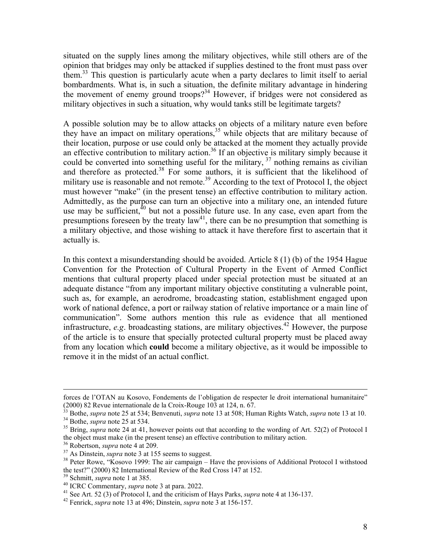situated on the supply lines among the military objectives, while still others are of the opinion that bridges may only be attacked if supplies destined to the front must pass over them. [33](#page-8-0) This question is particularly acute when a party declares to limit itself to aerial bombardments. What is, in such a situation, the definite military advantage in hindering the movement of enemy ground troops?<sup>34</sup> However, if bridges were not considered as military objectives in such a situation, why would tanks still be legitimate targets?

A possible solution may be to allow attacks on objects of a military nature even before they have an impact on military operations,<sup>35</sup> while objects that are military because of their location, purpose or use could only be attacked at the moment they actually provide an effective contribution to military action.<sup>36</sup> If an objective is military simply because it could be converted into something useful for the military,  $37$  nothing remains as civilian and therefore as protected. $38$  For some authors, it is sufficient that the likelihood of military use is reasonable and not remote.<sup>39</sup> According to the text of Protocol I, the object must however "make" (in the present tense) an effective contribution to military action. Admittedly, as the purpose can turn an objective into a military one, an intended future use may be sufficient, $40$  but not a possible future use. In any case, even apart from the presumptions foreseen by the treaty  $law<sup>41</sup>$ , there can be no presumption that something is a military objective, and those wishing to attack it have therefore first to ascertain that it actually is.

In this context a misunderstanding should be avoided. Article 8 (1) (b) of the 1954 Hague Convention for the Protection of Cultural Property in the Event of Armed Conflict mentions that cultural property placed under special protection must be situated at an adequate distance "from any important military objective constituting a vulnerable point, such as, for example, an aerodrome, broadcasting station, establishment engaged upon work of national defence, a port or railway station of relative importance or a main line of communication". Some authors mention this rule as evidence that all mentioned infrastructure,  $e.g.$  broadcasting stations, are military objectives.<sup>42</sup> However, the purpose of the article is to ensure that specially protected cultural property must be placed away from any location which **could** become a military objective, as it would be impossible to remove it in the midst of an actual conflict.

<span id="page-8-6"></span>

forces de l'OTAN au Kosovo, Fondements de l'obligation de respecter le droit international humanitaire"<br>(2000) 82 Revue internationale de la Croix-Rouge 103 at 124, n. 67.<br><sup>33</sup> Rothe sunga pote 25 et 524; Deserventi

<span id="page-8-2"></span><span id="page-8-1"></span><span id="page-8-0"></span>

<sup>&</sup>lt;sup>33</sup> Bothe, *supra* note 25 at 534; Benvenuti, *supra* note 13 at 508; Human Rights Watch, *supra* note 13 at 10.<br><sup>34</sup> Bothe, *supra* note 25 at 534.<br><sup>35</sup> Bring, *supra* note 24 at 41, however points out that according to

<span id="page-8-3"></span>

<span id="page-8-5"></span><span id="page-8-4"></span>

<sup>&</sup>lt;sup>36</sup> Robertson, *supra* note 4 at 209.<br><sup>37</sup> As Dinstein, *supra* note 3 at 155 seems to suggest.<br><sup>38</sup> Peter Rowe, "Kosovo 1999: The air campaign – Have the provisions of Additional Protocol I withstood<br>the test?" (2000) 8

<span id="page-8-8"></span><span id="page-8-7"></span>

<sup>&</sup>lt;sup>39</sup> Schmitt, *supra* note 1 at 385.<br><sup>40</sup> ICRC Commentary, *supra* note 3 at para. 2022.<br><sup>41</sup> See Art. 52 (3) of Protocol I, and the criticism of Hays Parks, *supra* note 4 at 136-137.<br><sup>42</sup> Fenrick, *supra* note 13 at 496

<span id="page-8-9"></span>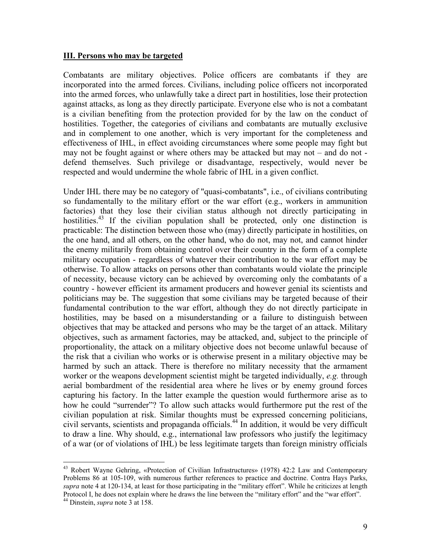#### **III. Persons who may be targeted**

Combatants are military objectives. Police officers are combatants if they are incorporated into the armed forces. Civilians, including police officers not incorporated into the armed forces, who unlawfully take a direct part in hostilities, lose their protection against attacks, as long as they directly participate. Everyone else who is not a combatant is a civilian benefiting from the protection provided for by the law on the conduct of hostilities. Together, the categories of civilians and combatants are mutually exclusive and in complement to one another, which is very important for the completeness and effectiveness of IHL, in effect avoiding circumstances where some people may fight but may not be fought against or where others may be attacked but may not – and do not defend themselves. Such privilege or disadvantage, respectively, would never be respected and would undermine the whole fabric of IHL in a given conflict.

Under IHL there may be no category of "quasi-combatants", i.e., of civilians contributing so fundamentally to the military effort or the war effort (e.g., workers in ammunition factories) that they lose their civilian status although not directly participating in hostilities.<sup>43</sup> If the civilian population shall be protected, only one distinction is practicable: The distinction between those who (may) directly participate in hostilities, on the one hand, and all others, on the other hand, who do not, may not, and cannot hinder the enemy militarily from obtaining control over their country in the form of a complete military occupation - regardless of whatever their contribution to the war effort may be otherwise. To allow attacks on persons other than combatants would violate the principle of necessity, because victory can be achieved by overcoming only the combatants of a country - however efficient its armament producers and however genial its scientists and politicians may be. The suggestion that some civilians may be targeted because of their fundamental contribution to the war effort, although they do not directly participate in hostilities, may be based on a misunderstanding or a failure to distinguish between objectives that may be attacked and persons who may be the target of an attack. Military objectives, such as armament factories, may be attacked, and, subject to the principle of proportionality, the attack on a military objective does not become unlawful because of the risk that a civilian who works or is otherwise present in a military objective may be harmed by such an attack. There is therefore no military necessity that the armament worker or the weapons development scientist might be targeted individually, *e.g.* through aerial bombardment of the residential area where he lives or by enemy ground forces capturing his factory. In the latter example the question would furthermore arise as to how he could "surrender"? To allow such attacks would furthermore put the rest of the civilian population at risk. Similar thoughts must be expressed concerning politicians, civil servants, scientists and propaganda officials.<sup>44</sup> In addition, it would be very difficult to draw a line. Why should, e.g., international law professors who justify the legitimacy of a war (or of violations of IHL) be less legitimate targets than foreign ministry officials

<span id="page-9-0"></span><sup>&</sup>lt;sup>43</sup> Robert Wayne Gehring, «Protection of Civilian Infrastructures» (1978) 42:2 Law and Contemporary Problems 86 at 105-109, with numerous further references to practice and doctrine. Contra Hays Parks, *supra* note 4 at 120-134, at least for those participating in the "military effort". While he criticizes at length Protocol I, he does not explain where he draws the line between the "military effort" and the "war effort". 44 Dinstein, *supra* note 3 at 158.

<span id="page-9-1"></span>